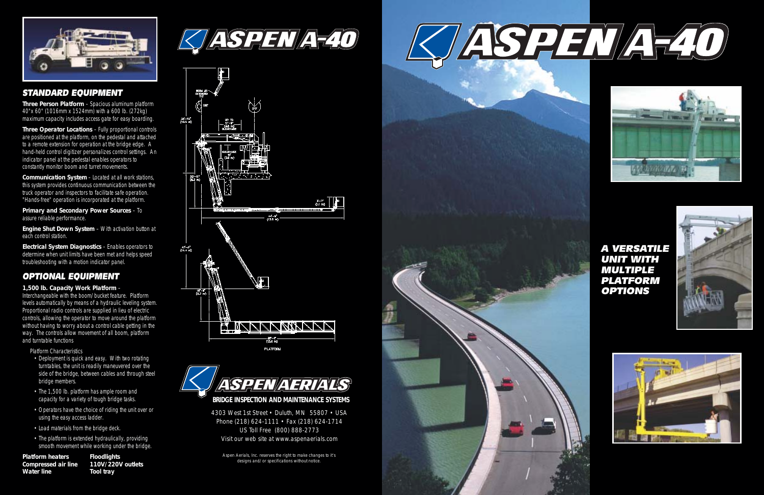### *BRIDGE INSPECTION AND MAINTENANCE SYSTEMS*

*4303 West 1st Street • Duluth, MN 55807 • USA Phone (218) 624-1111 • Fax (218) 624-1714 US Toll Free (800) 888-2773 Visit our web site at www.aspenaerials.com*

*Aspen Aerials, Inc. reserves the right to make changes to it's designs and/or specifications without notice.*









### *STANDARD EQUIPMENT*

*Three Person Platform – Spacious aluminum platform 40"x 60" (1016mm x 1524mm) with a 600 lb. (272kg) maximum capacity includes access gate for easy boarding.*

*Three Operator Locations – Fully proportional controls are positioned at the platform, on the pedestal and attached to a remote extension for operation at the bridge edge. A hand-held control digitizer personalizes control settings. An indicator panel at the pedestal enables operators to constantly monitor boom and turret movements.*

*Communication System – Located at all work stations, this system provides continuous communication between the truck operator and inspectors to facilitate safe operation. "Hands-free" operation is incorporated at the platform.*

*Primary and Secondary Power Sources – To assure reliable performance.*

*Engine Shut Down System – With activation button at each control station.*

*Electrical System Diagnostics – Enables operators to determine when unit limits have been met and helps speed troubleshooting with a motion indicator panel.*

### *A VERSATILE UNIT WITH MULTIPLE PLATFORM OPTIONS*





## *OPTIONAL EQUIPMENT*

### *1,500 lb. Capacity Work Platform –*

*Interchangeable with the boom/bucket feature. Platform levels automatically by means of a hydraulic leveling system. Proportional radio controls are supplied in lieu of electric controls, allowing the operator to move around the platform without having to worry about a control cable getting in the way. The controls allow movement of all boom, platform and turntable functions*

*Platform Characteristics*

- *Deployment is quick and easy. With two rotating turntables, the unit is readily maneuvered over the side of the bridge, between cables and through steel bridge members.*
- *The 1,500 lb. platform has ample room and capacity for a variety of tough bridge tasks.*
- *Operators have the choice of riding the unit over or using the easy access ladder.*
- *Load materials from the bridge deck.*
- *The platform is extended hydraulically, providing smooth movement while working under the bridge.*

*Platform heaters Floodlights Compressed air line Water line Tool tray*